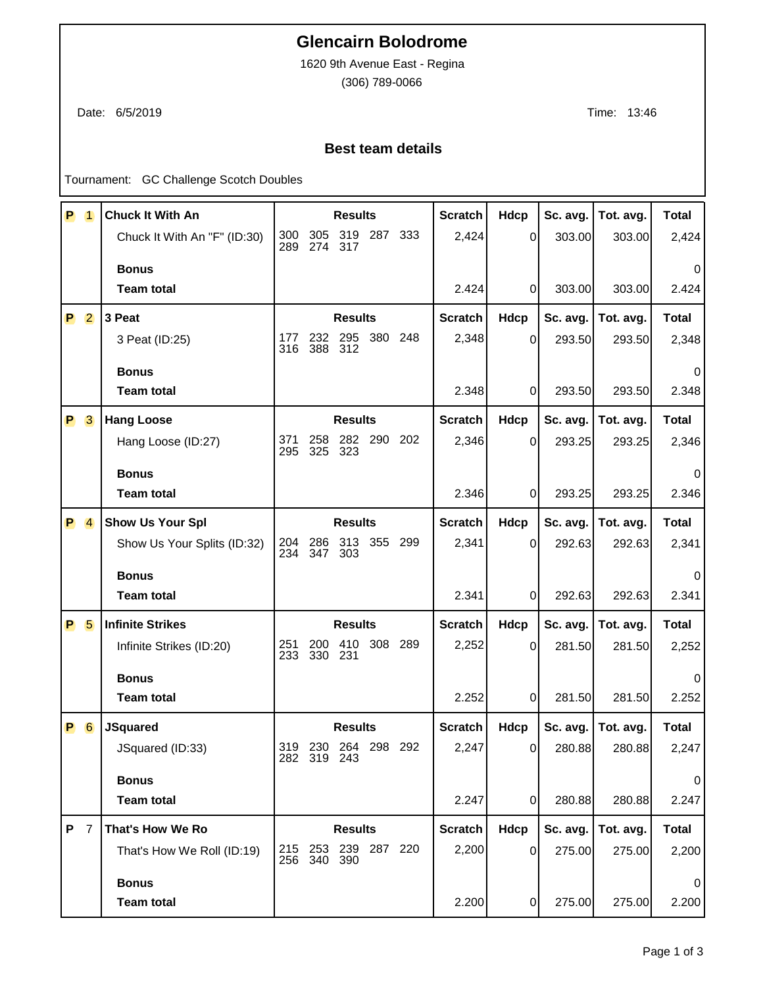## **Glencairn Bolodrome**

1620 9th Avenue East - Regina

(306) 789-0066

Date: 6/5/2019 Time: 13:46

## **Best team details**

Tournament: GC Challenge Scotch Doubles

| P | $\overline{1}$ | <b>Chuck It With An</b>      | <b>Results</b> |                |                     |             |         | <b>Scratch</b> | Hdcp           | Sc. avg. | Tot. avg. | <b>Total</b> |
|---|----------------|------------------------------|----------------|----------------|---------------------|-------------|---------|----------------|----------------|----------|-----------|--------------|
|   |                | Chuck It With An "F" (ID:30) | 300<br>289     | 305<br>274     | 317                 | 319 287     | 333     | 2,424          | $\Omega$       | 303.00   | 303.00    | 2,424        |
|   |                | <b>Bonus</b>                 |                |                |                     |             |         |                |                |          |           | 0            |
|   |                | <b>Team total</b>            |                |                |                     |             |         | 2.424          | 0              | 303.00   | 303.00    | 2.424        |
|   | <b>P</b> 2     | 3 Peat                       |                |                | <b>Results</b>      |             |         | <b>Scratch</b> | Hdcp           | Sc. avg. | Tot. avg. | <b>Total</b> |
|   |                | 3 Peat (ID:25)               | 177<br>316     | 232<br>388     | 295<br>312          | 380         | 248     | 2,348          | $\mathbf 0$    | 293.50   | 293.50    | 2,348        |
|   |                | <b>Bonus</b>                 |                |                |                     |             |         |                |                |          |           | 0            |
|   |                | <b>Team total</b>            |                |                |                     |             |         | 2.348          | 0              | 293.50   | 293.50    | 2.348        |
|   | P 3            | <b>Hang Loose</b>            | <b>Results</b> |                |                     |             |         | <b>Scratch</b> | Hdcp           | Sc. avg. | Tot. avg. | <b>Total</b> |
|   |                | Hang Loose (ID:27)           | 371<br>295     | 258<br>325     | 323                 | 282 290     | 202     | 2,346          | 0              | 293.25   | 293.25    | 2,346        |
|   |                | <b>Bonus</b>                 |                |                |                     |             |         |                |                |          |           | 0            |
|   |                | <b>Team total</b>            |                |                |                     |             |         | 2.346          | 0              | 293.25   | 293.25    | 2.346        |
| P | $\overline{4}$ | <b>Show Us Your Spl</b>      |                |                | <b>Results</b>      |             |         | <b>Scratch</b> | Hdcp           | Sc. avg. | Tot. avg. | <b>Total</b> |
|   |                | Show Us Your Splits (ID:32)  | 204<br>234     | 286<br>347     | 313<br>303          |             | 355 299 | 2,341          | 0              | 292.63   | 292.63    | 2,341        |
|   |                | <b>Bonus</b>                 |                |                |                     |             |         |                |                |          |           | $\Omega$     |
|   |                | <b>Team total</b>            |                |                |                     |             |         | 2.341          | 0              | 292.63   | 292.63    | 2.341        |
| P | 5              | <b>Infinite Strikes</b>      |                |                | <b>Results</b>      |             |         | <b>Scratch</b> | Hdcp           | Sc. avg. | Tot. avg. | <b>Total</b> |
|   |                | Infinite Strikes (ID:20)     | 251<br>233     | 200<br>330     | 410<br>231          |             | 308 289 | 2,252          | $\mathbf 0$    | 281.50   | 281.50    | 2,252        |
|   |                | <b>Bonus</b>                 |                |                |                     |             |         |                |                |          |           | $\Omega$     |
|   |                | <b>Team total</b>            |                |                |                     |             |         | 2.252          | $\Omega$       | 281.50   | 281.50    | 2.252        |
| P | 6              | <b>JSquared</b>              |                |                | <b>Results</b>      |             |         | <b>Scratch</b> | Hdcp           | Sc. avg. | Tot. avg. | <b>Total</b> |
|   |                | JSquared (ID:33)             |                | 282 319 243    | 319 230 264 298 292 |             |         | 2,247          | $\overline{0}$ | 280.88   | 280.88    | 2,247        |
|   |                | <b>Bonus</b>                 |                |                |                     |             |         |                |                |          |           | 0            |
|   |                | <b>Team total</b>            |                |                |                     |             |         | 2.247          | $\Omega$       | 280.88   | 280.88    | 2.247        |
| P | $\overline{7}$ | That's How We Ro             |                |                | <b>Results</b>      |             |         | <b>Scratch</b> | Hdcp           | Sc. avg. | Tot. avg. | <b>Total</b> |
|   |                | That's How We Roll (ID:19)   | 215            | 253<br>256 340 | 390                 | 239 287 220 |         | 2,200          | 0              | 275.00   | 275.00    | 2,200        |
|   |                | <b>Bonus</b>                 |                |                |                     |             |         |                |                |          |           | 0            |
|   |                | <b>Team total</b>            |                |                |                     |             |         | 2.200          | 0              | 275.00   | 275.00    | 2.200        |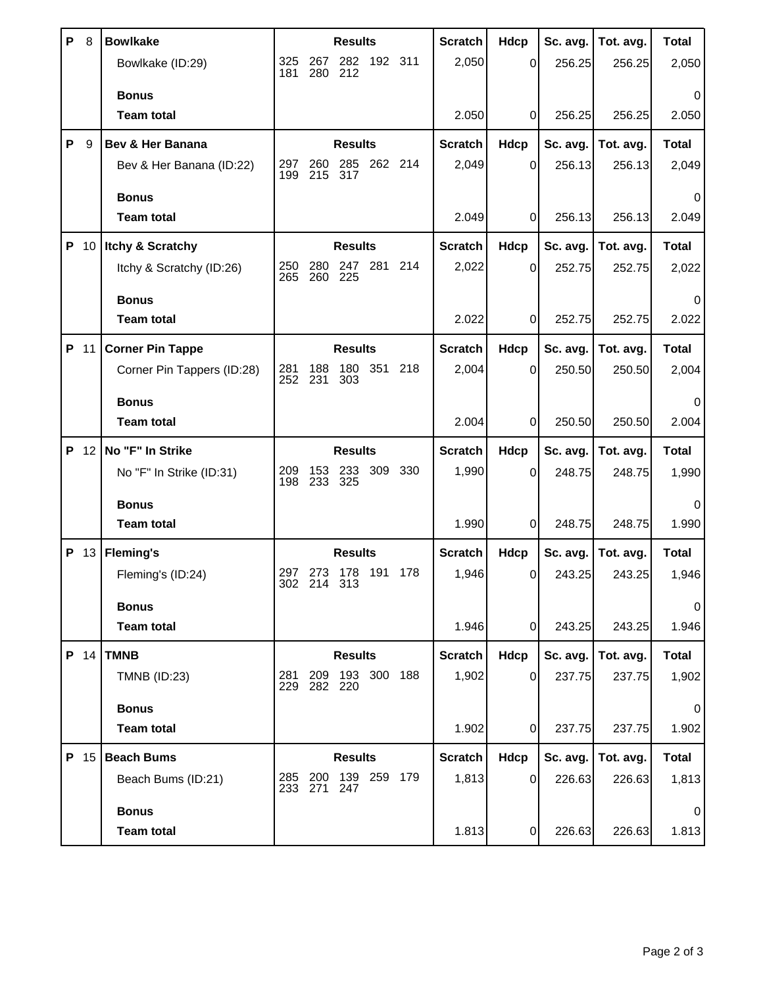| P | 8    | <b>Bowlkake</b>            | <b>Results</b>                                    | <b>Scratch</b> | <b>Hdcp</b> | Sc. avg. | Tot. avg. | <b>Total</b> |
|---|------|----------------------------|---------------------------------------------------|----------------|-------------|----------|-----------|--------------|
|   |      | Bowlkake (ID:29)           | 325<br>282<br>192 311<br>267<br>181<br>280<br>212 | 2,050          | 0           | 256.25   | 256.25    | 2,050        |
|   |      | <b>Bonus</b>               |                                                   |                |             |          |           |              |
|   |      | <b>Team total</b>          |                                                   | 2.050          | 0           | 256.25   | 256.25    | 2.050        |
| P | 9    | Bev & Her Banana           | <b>Results</b>                                    | <b>Scratch</b> | Hdcp        | Sc. avg. | Tot. avg. | <b>Total</b> |
|   |      | Bev & Her Banana (ID:22)   | 262 214<br>285<br>297<br>260<br>199<br>215<br>317 | 2,049          | 0           | 256.13   | 256.13    | 2,049        |
|   |      | <b>Bonus</b>               |                                                   |                |             |          |           | 0            |
|   |      | <b>Team total</b>          |                                                   | 2.049          | 0           | 256.13   | 256.13    | 2.049        |
|   | P 10 | Itchy & Scratchy           | <b>Results</b>                                    | <b>Scratch</b> | <b>Hdcp</b> | Sc. avg. | Tot. avg. | <b>Total</b> |
|   |      | Itchy & Scratchy (ID:26)   | 280<br>247 281<br>214<br>250<br>265<br>260<br>225 | 2,022          | 0           | 252.75   | 252.75    | 2,022        |
|   |      | <b>Bonus</b>               |                                                   |                |             |          |           | 0            |
|   |      | <b>Team total</b>          |                                                   | 2.022          | 0           | 252.75   | 252.75    | 2.022        |
| P | 11   | <b>Corner Pin Tappe</b>    | <b>Results</b>                                    | <b>Scratch</b> | Hdcp        | Sc. avg. | Tot. avg. | <b>Total</b> |
|   |      | Corner Pin Tappers (ID:28) | 281<br>180<br>351 218<br>188<br>252<br>231<br>303 | 2,004          | 0           | 250.50   | 250.50    | 2,004        |
|   |      | <b>Bonus</b>               |                                                   |                |             |          |           |              |
|   |      | <b>Team total</b>          |                                                   | 2.004          | $\Omega$    | 250.50   | 250.50    | 2.004        |
|   |      |                            |                                                   |                |             |          |           |              |
|   | P 12 | No "F" In Strike           | <b>Results</b>                                    | <b>Scratch</b> | Hdcp        | Sc. avg. | Tot. avg. | <b>Total</b> |
|   |      | No "F" In Strike (ID:31)   | 233<br>309 330<br>209<br>153<br>198<br>325        | 1,990          | 0           | 248.75   | 248.75    | 1,990        |
|   |      | <b>Bonus</b>               | 233                                               |                |             |          |           | $\Omega$     |
|   |      | <b>Team total</b>          |                                                   | 1.990          | 0           | 248.75   | 248.75    | 1.990        |
|   | P 13 | <b>Fleming's</b>           | <b>Results</b>                                    | <b>Scratch</b> | Hdcp        | Sc. avg. | Tot. avg. | <b>Total</b> |
|   |      | Fleming's (ID:24)          | 178 191<br>178<br>297<br>273                      | 1,946          | 0           | 243.25   | 243.25    | 1,946        |
|   |      | <b>Bonus</b>               | 302 214 313                                       |                |             |          |           | 0            |
|   |      | <b>Team total</b>          |                                                   | 1.946          | 0           | 243.25   | 243.25    | 1.946        |
|   | P 14 | <b>TMNB</b>                | <b>Results</b>                                    | <b>Scratch</b> | Hdcp        | Sc. avg. | Tot. avg. | <b>Total</b> |
|   |      | <b>TMNB (ID:23)</b>        | 193 300 188<br>281<br>209<br>229 282 220          | 1,902          | $\Omega$    | 237.75   | 237.75    | 1,902        |
|   |      | <b>Bonus</b>               |                                                   |                |             |          |           |              |
|   |      | <b>Team total</b>          |                                                   | 1.902          | $\Omega$    | 237.75   | 237.75    | 1.902        |
|   | P 15 | <b>Beach Bums</b>          | <b>Results</b>                                    | <b>Scratch</b> | Hdcp        | Sc. avg. | Tot. avg. | <b>Total</b> |
|   |      | Beach Bums (ID:21)         | 139 259 179<br>285<br>200<br>233 271<br>247       | 1,813          | $\Omega$    | 226.63   | 226.63    | 1,813        |
|   |      | <b>Bonus</b>               |                                                   |                |             |          |           | 0            |